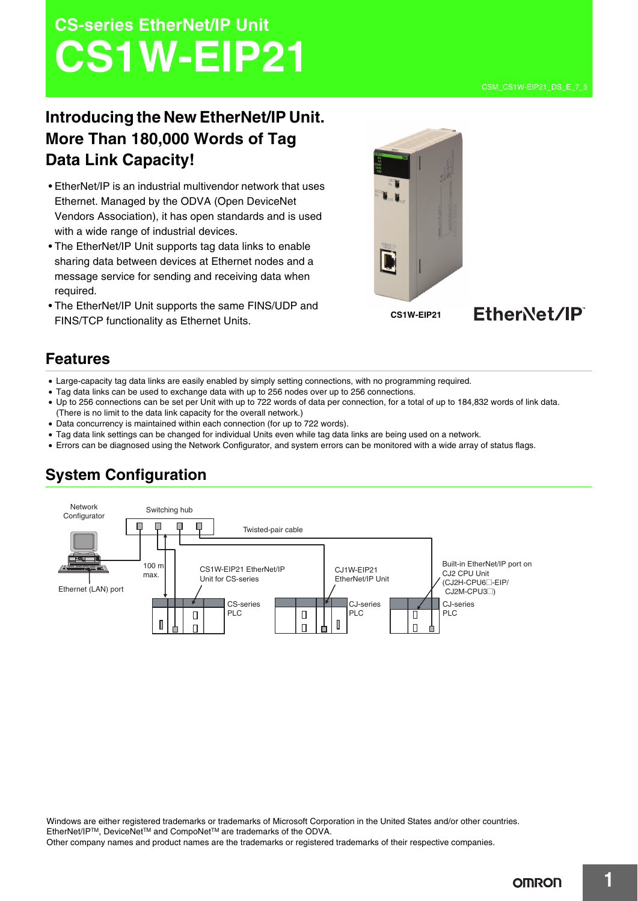# **CS-series EtherNet/IP Unit CS1W-EIP21**

# **Introducing the New EtherNet/IP Unit. More Than 180,000 Words of Tag Data Link Capacity!**

- EtherNet/IP is an industrial multivendor network that uses Ethernet. Managed by the ODVA (Open DeviceNet Vendors Association), it has open standards and is used with a wide range of industrial devices.
- The EtherNet/IP Unit supports tag data links to enable sharing data between devices at Ethernet nodes and a message service for sending and receiving data when required.
- The EtherNet/IP Unit supports the same FINS/UDP and FINS/TCP functionality as Ethernet Units.





### **Features**

- Large-capacity tag data links are easily enabled by simply setting connections, with no programming required.
- Tag data links can be used to exchange data with up to 256 nodes over up to 256 connections.
- Up to 256 connections can be set per Unit with up to 722 words of data per connection, for a total of up to 184,832 words of link data. (There is no limit to the data link capacity for the overall network.)
- Data concurrency is maintained within each connection (for up to 722 words).
- Tag data link settings can be changed for individual Units even while tag data links are being used on a network.
- Errors can be diagnosed using the Network Configurator, and system errors can be monitored with a wide array of status flags.



# **System Configuration**

Windows are either registered trademarks or trademarks of Microsoft Corporation in the United States and/or other countries. EtherNet/IPTM, DeviceNetTM and CompoNetTM are trademarks of the ODVA.

Other company names and product names are the trademarks or registered trademarks of their respective companies.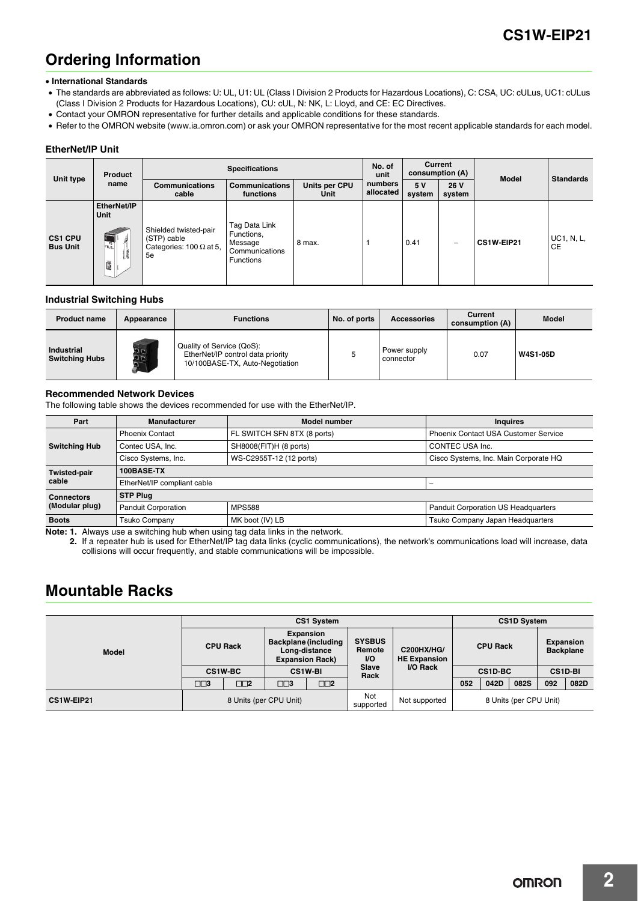## **Ordering Information**

#### • **International Standards**

- The standards are abbreviated as follows: U: UL, U1: UL (Class I Division 2 Products for Hazardous Locations), C: CSA, UC: cULus, UC1: cULus (Class I Division 2 Products for Hazardous Locations), CU: cUL, N: NK, L: Lloyd, and CE: EC Directives.
- Contact your OMRON representative for further details and applicable conditions for these standards.
- Refer to the OMRON website (www.ia.omron.com) or ask your OMRON representative for the most recent applicable standards for each model.

#### **EtherNet/IP Unit**

|                                   | <b>Product</b><br>name                                        | <b>Specifications</b>                                                        |                                                                              | No. of<br>unit        | <b>Current</b><br>consumption (A) |               |                          |              |                                |
|-----------------------------------|---------------------------------------------------------------|------------------------------------------------------------------------------|------------------------------------------------------------------------------|-----------------------|-----------------------------------|---------------|--------------------------|--------------|--------------------------------|
| Unit type                         |                                                               | <b>Communications</b><br>cable                                               | <b>Communications</b><br>functions                                           | Units per CPU<br>Unit | numbers<br>allocated              | 5 V<br>system | 26 V<br>system           | <b>Model</b> | <b>Standards</b>               |
| <b>CS1 CPU</b><br><b>Bus Unit</b> | EtherNet/IP<br>Unit<br>$\overline{\mathbb{R}}$<br>洧<br>U<br>D | Shielded twisted-pair<br>(STP) cable<br>Categories: 100 $\Omega$ at 5,<br>5e | Tag Data Link<br>Functions,<br>Message<br>Communications<br><b>Functions</b> | 8 max.                |                                   | 0.41          | $\overline{\phantom{m}}$ | CS1W-EIP21   | <b>UC1, N, L,</b><br><b>CE</b> |

### **Industrial Switching Hubs**

| <b>Product name</b>                        | Appearance | <b>Functions</b>                                                                                  | No. of ports | <b>Accessories</b>        | Current<br>consumption (A) | <b>Model</b>    |
|--------------------------------------------|------------|---------------------------------------------------------------------------------------------------|--------------|---------------------------|----------------------------|-----------------|
| <b>Industrial</b><br><b>Switching Hubs</b> | a a<br>ם ה | Quality of Service (QoS):<br>EtherNet/IP control data priority<br>10/100BASE-TX, Auto-Negotiation |              | Power supply<br>connector | 0.07                       | <b>W4S1-05D</b> |

### **Recommended Network Devices**

The following table shows the devices recommended for use with the EtherNet/IP.

| Part                 | <b>Manufacturer</b>                         | Model number                | <b>Inquires</b>                            |  |  |  |
|----------------------|---------------------------------------------|-----------------------------|--------------------------------------------|--|--|--|
|                      | <b>Phoenix Contact</b>                      | FL SWITCH SFN 8TX (8 ports) | Phoenix Contact USA Customer Service       |  |  |  |
| <b>Switching Hub</b> | Contec USA, Inc.                            | SH8008(FIT)H (8 ports)      | CONTEC USA Inc.                            |  |  |  |
|                      | Cisco Systems, Inc.                         | WS-C2955T-12 (12 ports)     | Cisco Systems, Inc. Main Corporate HQ      |  |  |  |
| <b>Twisted-pair</b>  | 100BASE-TX                                  |                             |                                            |  |  |  |
| cable                | EtherNet/IP compliant cable                 |                             |                                            |  |  |  |
| <b>Connectors</b>    | <b>STP Plug</b>                             |                             |                                            |  |  |  |
| (Modular plug)       | <b>MPS588</b><br><b>Panduit Corporation</b> |                             | <b>Panduit Corporation US Headquarters</b> |  |  |  |
| <b>Boots</b>         | <b>Tsuko Company</b>                        | MK boot (IV) LB             | Tsuko Company Japan Headquarters           |  |  |  |

**Note: 1.** Always use a switching hub when using tag data links in the network.

**2.** If a repeater hub is used for EtherNet/IP tag data links (cyclic communications), the network's communications load will increase, data collisions will occur frequently, and stable communications will be impossible.

### **Mountable Racks**

|            | <b>CS1 System</b>      |                |                                                                                     |                  | <b>CS1D System</b>                   |                                          |                 |         |                                      |     |                |
|------------|------------------------|----------------|-------------------------------------------------------------------------------------|------------------|--------------------------------------|------------------------------------------|-----------------|---------|--------------------------------------|-----|----------------|
| Model      | <b>CPU Rack</b>        |                | <b>Expansion</b><br>Backplane (including<br>Long-distance<br><b>Expansion Rack)</b> |                  | <b>SYSBUS</b><br>Remote<br><b>VO</b> | <b>C200HX/HG/</b><br><b>HE Expansion</b> | <b>CPU Rack</b> |         | <b>Expansion</b><br><b>Backplane</b> |     |                |
|            |                        | <b>CS1W-BC</b> |                                                                                     | <b>CS1W-BI</b>   | Slave<br>Rack                        | I/O Rack                                 |                 | CS1D-BC |                                      |     | <b>CS1D-BI</b> |
|            | $\square\square$       | $\square$      | □□3                                                                                 | $\square\square$ |                                      |                                          | 052             | 042D    | 082S                                 | 092 | 082D           |
| CS1W-EIP21 | 8 Units (per CPU Unit) |                | Not<br>supported                                                                    | Not supported    | 8 Units (per CPU Unit)               |                                          |                 |         |                                      |     |                |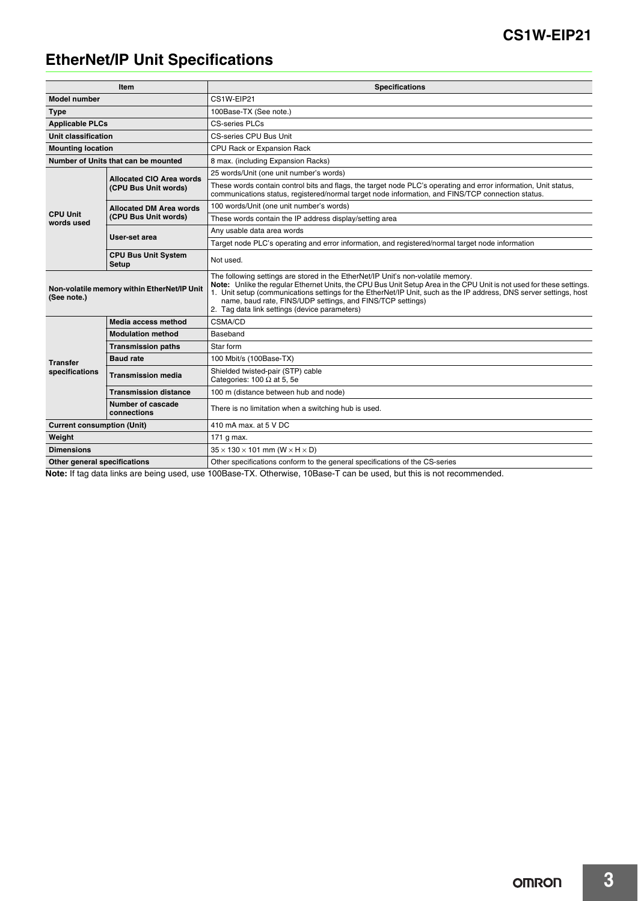### **CS1W-EIP21**

# **EtherNet/IP Unit Specifications**

|                                            | Item                                        | <b>Specifications</b>                                                                                                                                                                                                                                                                                                                                                                                                                         |  |  |  |  |
|--------------------------------------------|---------------------------------------------|-----------------------------------------------------------------------------------------------------------------------------------------------------------------------------------------------------------------------------------------------------------------------------------------------------------------------------------------------------------------------------------------------------------------------------------------------|--|--|--|--|
| <b>Model number</b>                        |                                             | CS1W-EIP21                                                                                                                                                                                                                                                                                                                                                                                                                                    |  |  |  |  |
| <b>Type</b>                                |                                             | 100Base-TX (See note.)                                                                                                                                                                                                                                                                                                                                                                                                                        |  |  |  |  |
| <b>Applicable PLCs</b>                     |                                             | <b>CS-series PLCs</b>                                                                                                                                                                                                                                                                                                                                                                                                                         |  |  |  |  |
| Unit classification                        |                                             | CS-series CPU Bus Unit                                                                                                                                                                                                                                                                                                                                                                                                                        |  |  |  |  |
| <b>Mounting location</b>                   |                                             | CPU Rack or Expansion Rack                                                                                                                                                                                                                                                                                                                                                                                                                    |  |  |  |  |
|                                            | Number of Units that can be mounted         | 8 max. (including Expansion Racks)                                                                                                                                                                                                                                                                                                                                                                                                            |  |  |  |  |
| <b>Allocated CIO Area words</b>            |                                             | 25 words/Unit (one unit number's words)                                                                                                                                                                                                                                                                                                                                                                                                       |  |  |  |  |
|                                            | (CPU Bus Unit words)                        | These words contain control bits and flags, the target node PLC's operating and error information, Unit status,<br>communications status, registered/normal target node information, and FINS/TCP connection status.                                                                                                                                                                                                                          |  |  |  |  |
|                                            | <b>Allocated DM Area words</b>              | 100 words/Unit (one unit number's words)                                                                                                                                                                                                                                                                                                                                                                                                      |  |  |  |  |
| <b>CPU Unit</b><br>words used              | (CPU Bus Unit words)                        | These words contain the IP address display/setting area                                                                                                                                                                                                                                                                                                                                                                                       |  |  |  |  |
|                                            | User-set area                               | Any usable data area words                                                                                                                                                                                                                                                                                                                                                                                                                    |  |  |  |  |
|                                            |                                             | Target node PLC's operating and error information, and registered/normal target node information                                                                                                                                                                                                                                                                                                                                              |  |  |  |  |
| <b>CPU Bus Unit System</b><br><b>Setup</b> |                                             | Not used.                                                                                                                                                                                                                                                                                                                                                                                                                                     |  |  |  |  |
| (See note.)                                | Non-volatile memory within EtherNet/IP Unit | The following settings are stored in the EtherNet/IP Unit's non-volatile memory.<br>Note: Unlike the reqular Ethernet Units, the CPU Bus Unit Setup Area in the CPU Unit is not used for these settings.<br>1. Unit setup (communications settings for the EtherNet/IP Unit, such as the IP address, DNS server settings, host<br>name, baud rate, FINS/UDP settings, and FINS/TCP settings)<br>2. Tag data link settings (device parameters) |  |  |  |  |
|                                            | Media access method                         | CSMA/CD                                                                                                                                                                                                                                                                                                                                                                                                                                       |  |  |  |  |
|                                            | <b>Modulation method</b>                    | Baseband                                                                                                                                                                                                                                                                                                                                                                                                                                      |  |  |  |  |
|                                            | <b>Transmission paths</b>                   | Star form                                                                                                                                                                                                                                                                                                                                                                                                                                     |  |  |  |  |
| <b>Transfer</b>                            | <b>Baud rate</b>                            | 100 Mbit/s (100Base-TX)                                                                                                                                                                                                                                                                                                                                                                                                                       |  |  |  |  |
| specifications                             | Transmission media                          | Shielded twisted-pair (STP) cable<br>Categories: 100 $\Omega$ at 5, 5e                                                                                                                                                                                                                                                                                                                                                                        |  |  |  |  |
|                                            | <b>Transmission distance</b>                | 100 m (distance between hub and node)                                                                                                                                                                                                                                                                                                                                                                                                         |  |  |  |  |
| Number of cascade<br>connections           |                                             | There is no limitation when a switching hub is used.                                                                                                                                                                                                                                                                                                                                                                                          |  |  |  |  |
| <b>Current consumption (Unit)</b>          |                                             | 410 mA max, at 5 V DC                                                                                                                                                                                                                                                                                                                                                                                                                         |  |  |  |  |
| Weight                                     |                                             | 171 g max.                                                                                                                                                                                                                                                                                                                                                                                                                                    |  |  |  |  |
| <b>Dimensions</b>                          |                                             | $35 \times 130 \times 101$ mm (W $\times$ H $\times$ D)                                                                                                                                                                                                                                                                                                                                                                                       |  |  |  |  |
| Other general specifications               |                                             | Other specifications conform to the general specifications of the CS-series                                                                                                                                                                                                                                                                                                                                                                   |  |  |  |  |

**Note:** If tag data links are being used, use 100Base-TX. Otherwise, 10Base-T can be used, but this is not recommended.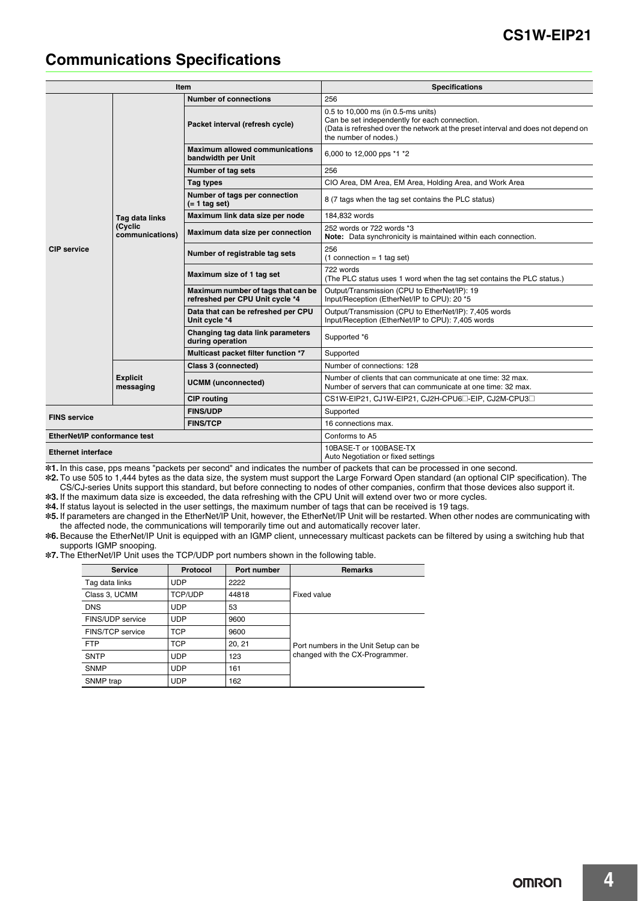### **CS1W-EIP21**

### **Communications Specifications**

|                              |                              | Item                                                                  | <b>Specifications</b>                                                                                                                                                                             |  |  |
|------------------------------|------------------------------|-----------------------------------------------------------------------|---------------------------------------------------------------------------------------------------------------------------------------------------------------------------------------------------|--|--|
|                              |                              | <b>Number of connections</b>                                          | 256                                                                                                                                                                                               |  |  |
|                              |                              | Packet interval (refresh cycle)                                       | 0.5 to 10,000 ms (in 0.5-ms units)<br>Can be set independently for each connection.<br>(Data is refreshed over the network at the preset interval and does not depend on<br>the number of nodes.) |  |  |
|                              |                              | <b>Maximum allowed communications</b><br>bandwidth per Unit           | 6,000 to 12,000 pps *1 *2                                                                                                                                                                         |  |  |
|                              |                              | Number of tag sets                                                    | 256                                                                                                                                                                                               |  |  |
|                              |                              | Tag types                                                             | CIO Area, DM Area, EM Area, Holding Area, and Work Area                                                                                                                                           |  |  |
| <b>CIP</b> service           |                              | Number of tags per connection<br>$(= 1$ tag set)                      | 8 (7 tags when the tag set contains the PLC status)                                                                                                                                               |  |  |
|                              | Tag data links               | Maximum link data size per node                                       | 184.832 words                                                                                                                                                                                     |  |  |
|                              | (Cyclic<br>communications)   | Maximum data size per connection                                      | 252 words or 722 words *3<br>Note: Data synchronicity is maintained within each connection.                                                                                                       |  |  |
|                              |                              | Number of registrable tag sets                                        | 256<br>$(1$ connection = 1 tag set)                                                                                                                                                               |  |  |
|                              |                              | Maximum size of 1 tag set                                             | 722 words<br>(The PLC status uses 1 word when the tag set contains the PLC status.)                                                                                                               |  |  |
|                              |                              | Maximum number of tags that can be<br>refreshed per CPU Unit cycle *4 | Output/Transmission (CPU to EtherNet/IP): 19<br>Input/Reception (EtherNet/IP to CPU): 20 *5                                                                                                       |  |  |
|                              |                              | Data that can be refreshed per CPU<br>Unit cycle *4                   | Output/Transmission (CPU to EtherNet/IP): 7,405 words<br>Input/Reception (EtherNet/IP to CPU): 7,405 words                                                                                        |  |  |
|                              |                              | Changing tag data link parameters<br>during operation                 | Supported *6                                                                                                                                                                                      |  |  |
|                              |                              | Multicast packet filter function *7                                   | Supported                                                                                                                                                                                         |  |  |
|                              |                              | Class 3 (connected)                                                   | Number of connections: 128                                                                                                                                                                        |  |  |
|                              | <b>Explicit</b><br>messaging | <b>UCMM</b> (unconnected)                                             | Number of clients that can communicate at one time: 32 max.<br>Number of servers that can communicate at one time: 32 max.                                                                        |  |  |
|                              |                              | <b>CIP</b> routing                                                    | CS1W-EIP21, CJ1W-EIP21, CJ2H-CPU6 <sup>-</sup> EIP, CJ2M-CPU3 <sup>-</sup>                                                                                                                        |  |  |
| <b>FINS service</b>          |                              | <b>FINS/UDP</b>                                                       | Supported                                                                                                                                                                                         |  |  |
|                              |                              | <b>FINS/TCP</b>                                                       | 16 connections max.                                                                                                                                                                               |  |  |
| EtherNet/IP conformance test |                              |                                                                       | Conforms to A5                                                                                                                                                                                    |  |  |
| <b>Ethernet interface</b>    |                              |                                                                       | 10BASE-T or 100BASE-TX<br>Auto Negotiation or fixed settings                                                                                                                                      |  |  |

\*1. In this case, pps means "packets per second" and indicates the number of packets that can be processed in one second.

\*2. To use 505 to 1,444 bytes as the data size, the system must support the Large Forward Open standard (an optional CIP specification). The CS/CJ-series Units support this standard, but before connecting to nodes of other companies, confirm that those devices also support it.

\*3. If the maximum data size is exceeded, the data refreshing with the CPU Unit will extend over two or more cycles.

\*4. If status layout is selected in the user settings, the maximum number of tags that can be received is 19 tags.

\*5. If parameters are changed in the EtherNet/IP Unit, however, the EtherNet/IP Unit will be restarted. When other nodes are communicating with the affected node, the communications will temporarily time out and automatically recover later.

\*6. Because the EtherNet/IP Unit is equipped with an IGMP client, unnecessary multicast packets can be filtered by using a switching hub that supports IGMP snooping.

\*7. The EtherNet/IP Unit uses the TCP/UDP port numbers shown in the following table.

| <b>Service</b>   | Protocol       | Port number | <b>Remarks</b>                        |
|------------------|----------------|-------------|---------------------------------------|
| Tag data links   | <b>UDP</b>     | 2222        |                                       |
| Class 3, UCMM    | <b>TCP/UDP</b> | 44818       | Fixed value                           |
| <b>DNS</b>       | <b>UDP</b>     | 53          |                                       |
| FINS/UDP service | <b>UDP</b>     | 9600        |                                       |
| FINS/TCP service | <b>TCP</b>     | 9600        |                                       |
| <b>FTP</b>       | <b>TCP</b>     | 20, 21      | Port numbers in the Unit Setup can be |
| <b>SNTP</b>      | <b>UDP</b>     | 123         | changed with the CX-Programmer.       |
| <b>SNMP</b>      | <b>UDP</b>     | 161         |                                       |
| SNMP trap        | <b>UDP</b>     | 162         |                                       |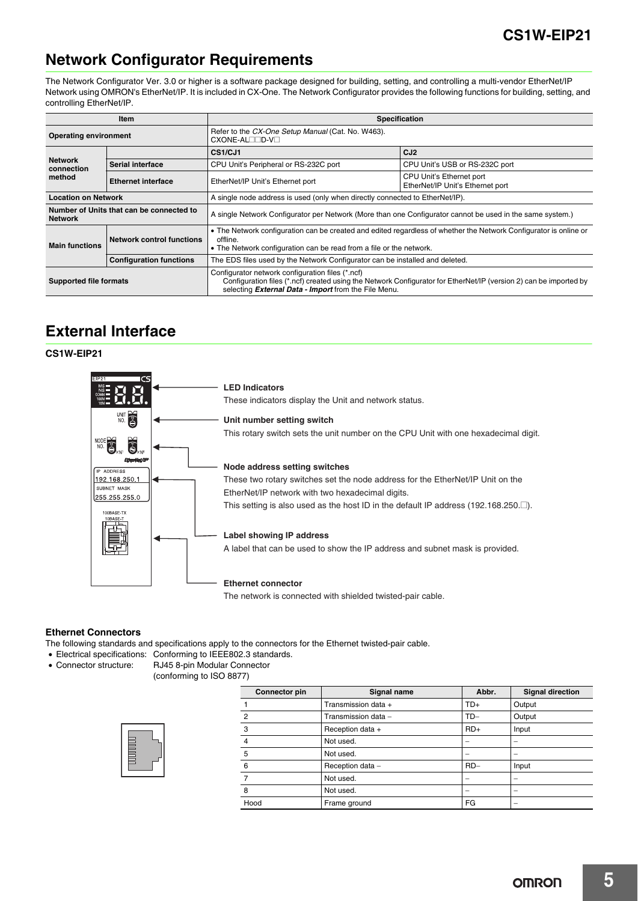### **Network Configurator Requirements**

The Network Configurator Ver. 3.0 or higher is a software package designed for building, setting, and controlling a multi-vendor EtherNet/IP Network using OMRON's EtherNet/IP. It is included in CX-One. The Network Configurator provides the following functions for building, setting, and controlling EtherNet/IP.

|                                                            | Item                             | <b>Specification</b>                                                                                                                                                                                                                 |                                                              |  |  |  |
|------------------------------------------------------------|----------------------------------|--------------------------------------------------------------------------------------------------------------------------------------------------------------------------------------------------------------------------------------|--------------------------------------------------------------|--|--|--|
| <b>Operating environment</b>                               |                                  | Refer to the CX-One Setup Manual (Cat. No. W463).<br>CXONE-AL <sub>ID-V</sub>                                                                                                                                                        |                                                              |  |  |  |
|                                                            |                                  | CS1/CJ1                                                                                                                                                                                                                              | CJ <sub>2</sub>                                              |  |  |  |
| <b>Network</b><br>connection                               | Serial interface                 | CPU Unit's Peripheral or RS-232C port                                                                                                                                                                                                | CPU Unit's USB or RS-232C port                               |  |  |  |
| method                                                     | <b>Ethernet interface</b>        | EtherNet/IP Unit's Ethernet port                                                                                                                                                                                                     | CPU Unit's Ethernet port<br>EtherNet/IP Unit's Ethernet port |  |  |  |
| <b>Location on Network</b>                                 |                                  | A single node address is used (only when directly connected to EtherNet/IP).                                                                                                                                                         |                                                              |  |  |  |
| Number of Units that can be connected to<br><b>Network</b> |                                  | A single Network Configurator per Network (More than one Configurator cannot be used in the same system.)                                                                                                                            |                                                              |  |  |  |
| <b>Main functions</b>                                      | <b>Network control functions</b> | • The Network configuration can be created and edited regardless of whether the Network Configurator is online or<br>offline.<br>• The Network configuration can be read from a file or the network.                                 |                                                              |  |  |  |
|                                                            | <b>Configuration functions</b>   | The EDS files used by the Network Configurator can be installed and deleted.                                                                                                                                                         |                                                              |  |  |  |
| Supported file formats                                     |                                  | Configurator network configuration files (*.ncf)<br>Configuration files (*.ncf) created using the Network Configurator for EtherNet/IP (version 2) can be imported by<br>selecting <b>External Data - Import</b> from the File Menu. |                                                              |  |  |  |

### **External Interface**

### **CS1W-EIP21**



### **Ethernet Connectors**

The following standards and specifications apply to the connectors for the Ethernet twisted-pair cable.

- Electrical specifications: Conforming to IEEE802.3 standards.
- Connector structure: RJ45 8-pin Modular Connector
	- (conforming to ISO 8877)

| Connector pin | Signal name         | Abbr. | <b>Signal direction</b> |
|---------------|---------------------|-------|-------------------------|
|               | Transmission data + | TD+   | Output                  |
| 2             | Transmission data - | $TD-$ | Output                  |
| 3             | Reception data +    | $RD+$ | Input                   |
| 4             | Not used.           |       | -                       |
| 5             | Not used.           |       | -                       |
| 6             | Reception data -    | $RD-$ | Input                   |
|               | Not used.           |       |                         |
| 8             | Not used.           |       | -                       |
| Hood          | Frame ground        | FG    |                         |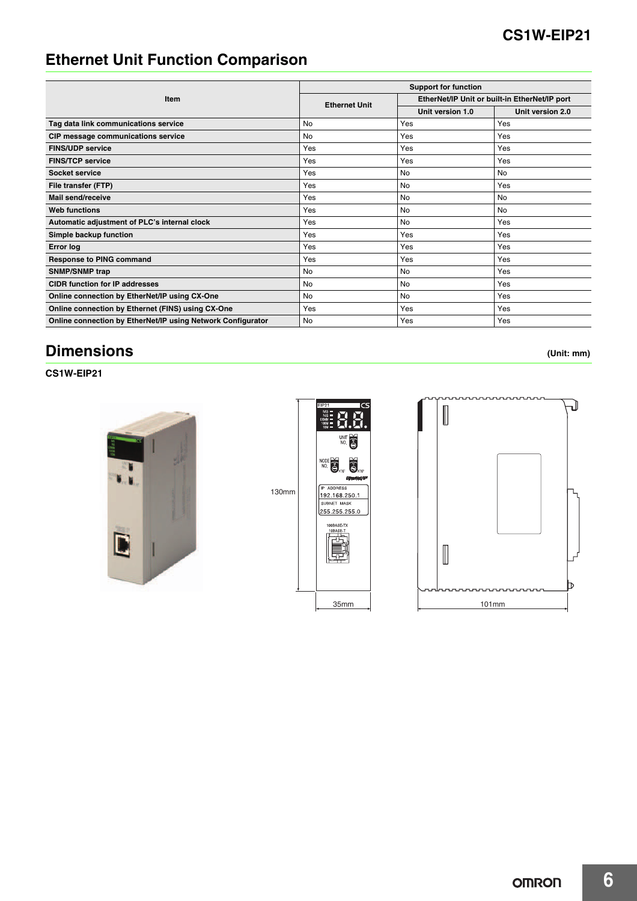# **Ethernet Unit Function Comparison**

|                                                             | <b>Support for function</b> |                                               |                  |  |  |
|-------------------------------------------------------------|-----------------------------|-----------------------------------------------|------------------|--|--|
| Item                                                        | <b>Ethernet Unit</b>        | EtherNet/IP Unit or built-in EtherNet/IP port |                  |  |  |
|                                                             |                             | Unit version 1.0                              | Unit version 2.0 |  |  |
| Tag data link communications service                        | <b>No</b>                   | Yes                                           | Yes              |  |  |
| CIP message communications service                          | No                          | Yes                                           | Yes              |  |  |
| <b>FINS/UDP service</b>                                     | Yes                         | Yes                                           | Yes              |  |  |
| <b>FINS/TCP service</b>                                     | Yes                         | Yes                                           | Yes              |  |  |
| Socket service                                              | Yes                         | <b>No</b>                                     | No               |  |  |
| File transfer (FTP)                                         | Yes                         | <b>No</b>                                     | Yes              |  |  |
| Mail send/receive                                           | Yes                         | <b>No</b>                                     | No               |  |  |
| <b>Web functions</b>                                        | Yes                         | <b>No</b>                                     | No               |  |  |
| Automatic adjustment of PLC's internal clock                | Yes                         | <b>No</b>                                     | Yes              |  |  |
| Simple backup function                                      | Yes                         | Yes                                           | Yes              |  |  |
| <b>Error log</b>                                            | Yes                         | Yes                                           | Yes              |  |  |
| <b>Response to PING command</b>                             | Yes                         | Yes                                           | Yes              |  |  |
| <b>SNMP/SNMP trap</b>                                       | No                          | <b>No</b>                                     | Yes              |  |  |
| <b>CIDR function for IP addresses</b>                       | No                          | No                                            | Yes              |  |  |
| Online connection by EtherNet/IP using CX-One               | No                          | <b>No</b>                                     | Yes              |  |  |
| Online connection by Ethernet (FINS) using CX-One           | Yes                         | Yes                                           | Yes              |  |  |
| Online connection by EtherNet/IP using Network Configurator | No                          | Yes                                           | Yes              |  |  |

# **Dimensions (Unit: mm)**

**CS1W-EIP21**





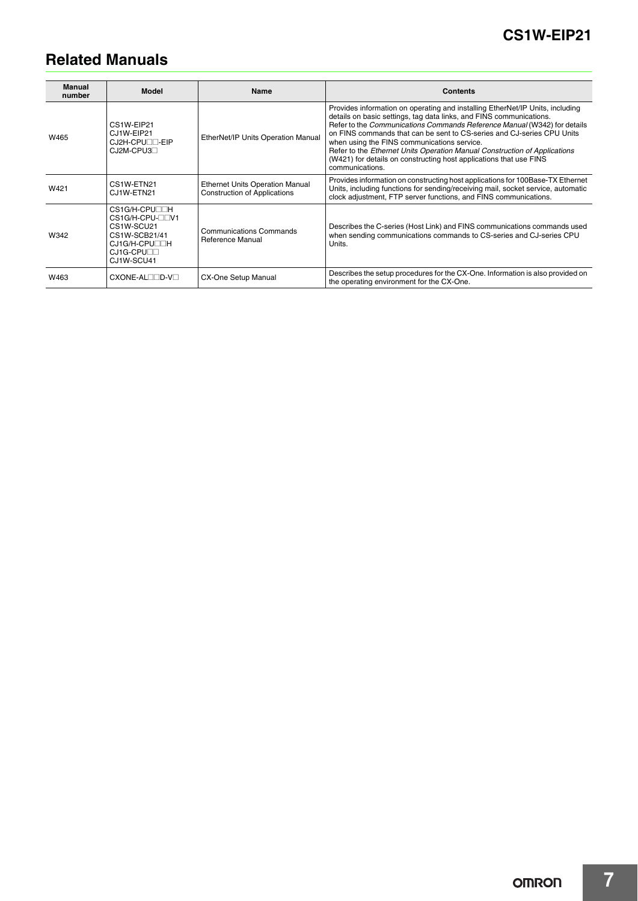# **Related Manuals**

| <b>Manual</b><br>number | <b>Model</b>                                                                                                 | <b>Name</b>                                                                   | <b>Contents</b>                                                                                                                                                                                                                                                                                                                                                                                                                                                                                                                 |
|-------------------------|--------------------------------------------------------------------------------------------------------------|-------------------------------------------------------------------------------|---------------------------------------------------------------------------------------------------------------------------------------------------------------------------------------------------------------------------------------------------------------------------------------------------------------------------------------------------------------------------------------------------------------------------------------------------------------------------------------------------------------------------------|
| W465                    | CS1W-EIP21<br>CJ1W-EIP21<br>CJ2H-CPULL-EIP<br>$CJ2M-CPU3-$                                                   | EtherNet/IP Units Operation Manual                                            | Provides information on operating and installing EtherNet/IP Units, including<br>details on basic settings, tag data links, and FINS communications.<br>Refer to the Communications Commands Reference Manual (W342) for details<br>on FINS commands that can be sent to CS-series and CJ-series CPU Units<br>when using the FINS communications service.<br>Refer to the Ethernet Units Operation Manual Construction of Applications<br>(W421) for details on constructing host applications that use FINS<br>communications. |
| W421                    | CS1W-ETN21<br>CJ1W-ETN21                                                                                     | <b>Ethernet Units Operation Manual</b><br><b>Construction of Applications</b> | Provides information on constructing host applications for 100Base-TX Ethernet<br>Units, including functions for sending/receiving mail, socket service, automatic<br>clock adjustment, FTP server functions, and FINS communications.                                                                                                                                                                                                                                                                                          |
| W342                    | CS1G/H-CPU□□H<br>CS1G/H-CPU-OOV1<br>CS1W-SCU21<br>CS1W-SCB21/41<br>CJ1G/H-CPU□□H<br>CJ1G-CPU□□<br>CJ1W-SCU41 | Communications Commands<br>Reference Manual                                   | Describes the C-series (Host Link) and FINS communications commands used<br>when sending communications commands to CS-series and CJ-series CPU<br>Units.                                                                                                                                                                                                                                                                                                                                                                       |
| W463                    | CXONE-ALIIID-VII                                                                                             | <b>CX-One Setup Manual</b>                                                    | Describes the setup procedures for the CX-One. Information is also provided on<br>the operating environment for the CX-One.                                                                                                                                                                                                                                                                                                                                                                                                     |